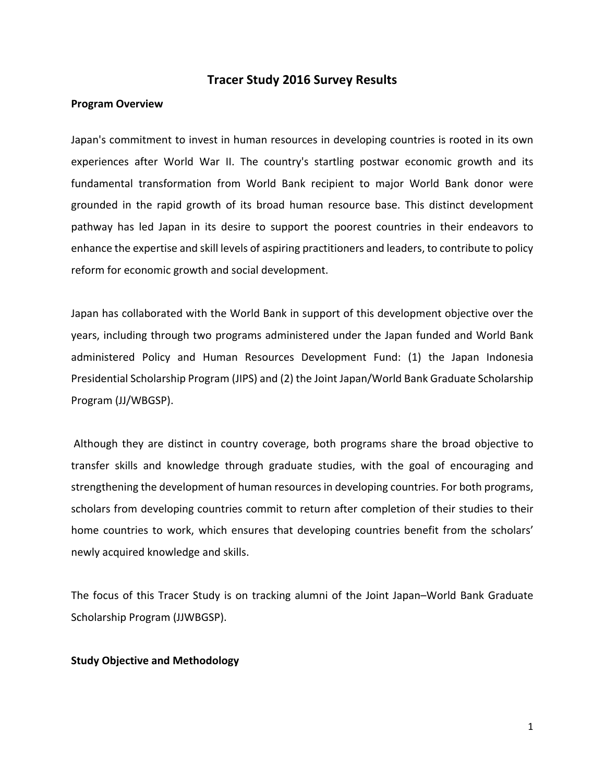## **Tracer Study 2016 Survey Results**

#### **Program Overview**

Japan's commitment to invest in human resources in developing countries is rooted in its own experiences after World War II. The country's startling postwar economic growth and its fundamental transformation from World Bank recipient to major World Bank donor were grounded in the rapid growth of its broad human resource base. This distinct development pathway has led Japan in its desire to support the poorest countries in their endeavors to enhance the expertise and skill levels of aspiring practitioners and leaders, to contribute to policy reform for economic growth and social development.

Japan has collaborated with the World Bank in support of this development objective over the years, including through two programs administered under the Japan funded and World Bank administered Policy and Human Resources Development Fund: (1) the Japan Indonesia Presidential Scholarship Program (JIPS) and (2) the Joint Japan/World Bank Graduate Scholarship Program (JJ/WBGSP).

 Although they are distinct in country coverage, both programs share the broad objective to transfer skills and knowledge through graduate studies, with the goal of encouraging and strengthening the development of human resources in developing countries. For both programs, scholars from developing countries commit to return after completion of their studies to their home countries to work, which ensures that developing countries benefit from the scholars' newly acquired knowledge and skills.

The focus of this Tracer Study is on tracking alumni of the Joint Japan–World Bank Graduate Scholarship Program (JJWBGSP).

#### **Study Objective and Methodology**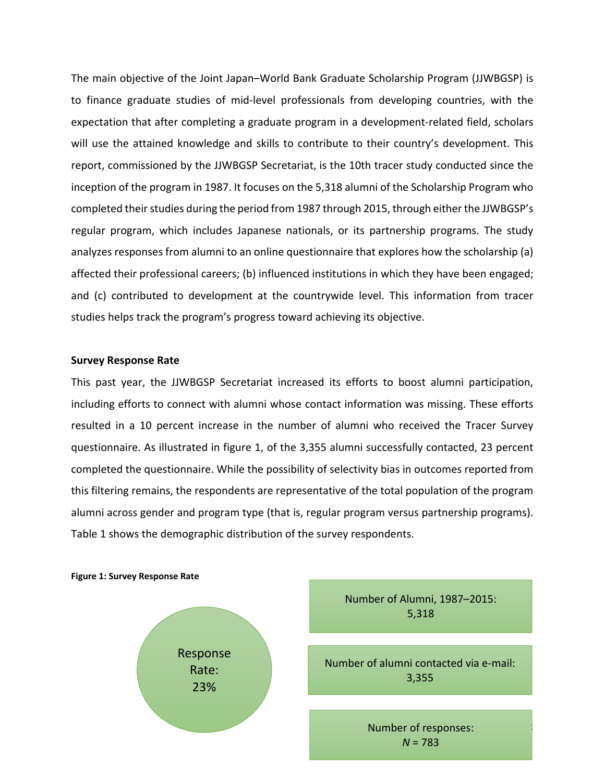The main objective of the Joint Japan–World Bank Graduate Scholarship Program (JJWBGSP) is to finance graduate studies of mid-level professionals from developing countries, with the expectation that after completing a graduate program in a development-related field, scholars will use the attained knowledge and skills to contribute to their country's development. This report, commissioned by the JJWBGSP Secretariat, is the 10th tracer study conducted since the inception of the program in 1987. It focuses on the 5,318 alumni of the Scholarship Program who completed their studies during the period from 1987 through 2015, through either the JJWBGSP's regular program, which includes Japanese nationals, or its partnership programs. The study analyzes responses from alumni to an online questionnaire that explores how the scholarship (a) affected their professional careers; (b) influenced institutions in which they have been engaged; and (c) contributed to development at the countrywide level. This information from tracer studies helps track the program's progress toward achieving its objective.

### **Survey Response Rate**

This past year, the JJWBGSP Secretariat increased its efforts to boost alumni participation, including efforts to connect with alumni whose contact information was missing. These efforts resulted in a 10 percent increase in the number of alumni who received the Tracer Survey questionnaire. As illustrated in figure 1, of the 3,355 alumni successfully contacted, 23 percent completed the questionnaire. While the possibility of selectivity bias in outcomes reported from this filtering remains, the respondents are representative of the total population of the program alumni across gender and program type (that is, regular program versus partnership programs). Table 1 shows the demographic distribution of the survey respondents.

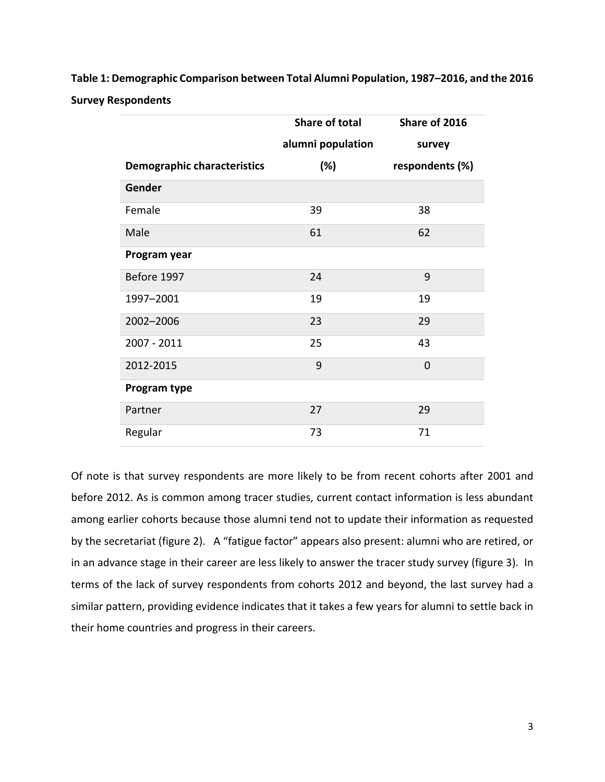**Table 1: Demographic Comparison between Total Alumni Population, 1987–2016, and the 2016 Survey Respondents** 

|                                    | Share of total    | Share of 2016   |  |
|------------------------------------|-------------------|-----------------|--|
|                                    | alumni population | survey          |  |
| <b>Demographic characteristics</b> | (%)               | respondents (%) |  |
| Gender                             |                   |                 |  |
| Female                             | 39                | 38              |  |
| Male                               | 61                | 62              |  |
| Program year                       |                   |                 |  |
| Before 1997                        | 24                | 9               |  |
| 1997-2001                          | 19                | 19              |  |
| 2002-2006                          | 23                | 29              |  |
| 2007 - 2011                        | 25                | 43              |  |
| 2012-2015                          | 9                 | $\overline{0}$  |  |
| Program type                       |                   |                 |  |
| Partner                            | 27                | 29              |  |
| Regular                            | 73                | 71              |  |

Of note is that survey respondents are more likely to be from recent cohorts after 2001 and before 2012. As is common among tracer studies, current contact information is less abundant among earlier cohorts because those alumni tend not to update their information as requested by the secretariat (figure 2). A "fatigue factor" appears also present: alumni who are retired, or in an advance stage in their career are less likely to answer the tracer study survey (figure 3). In terms of the lack of survey respondents from cohorts 2012 and beyond, the last survey had a similar pattern, providing evidence indicates that it takes a few years for alumni to settle back in their home countries and progress in their careers.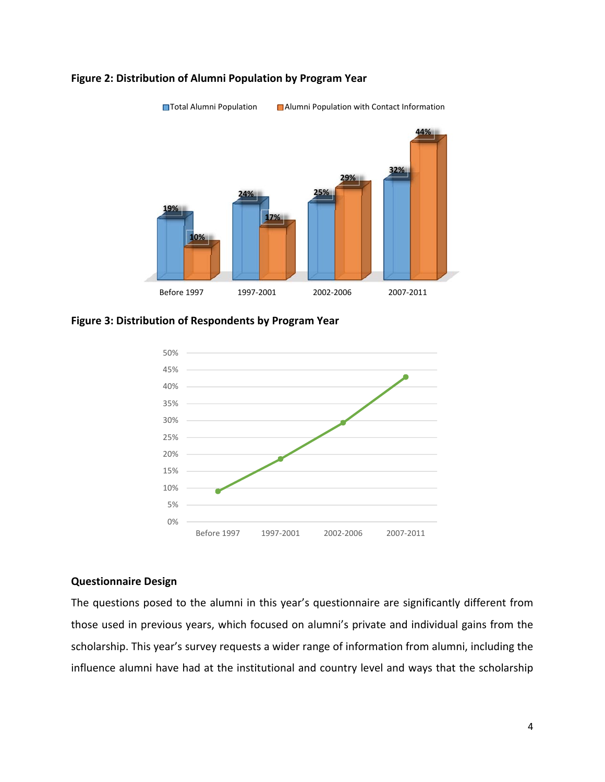

### **Figure 2: Distribution of Alumni Population by Program Year**

**Figure 3: Distribution of Respondents by Program Year** 



### **Questionnaire Design**

The questions posed to the alumni in this year's questionnaire are significantly different from those used in previous years, which focused on alumni's private and individual gains from the scholarship. This year's survey requests a wider range of information from alumni, including the influence alumni have had at the institutional and country level and ways that the scholarship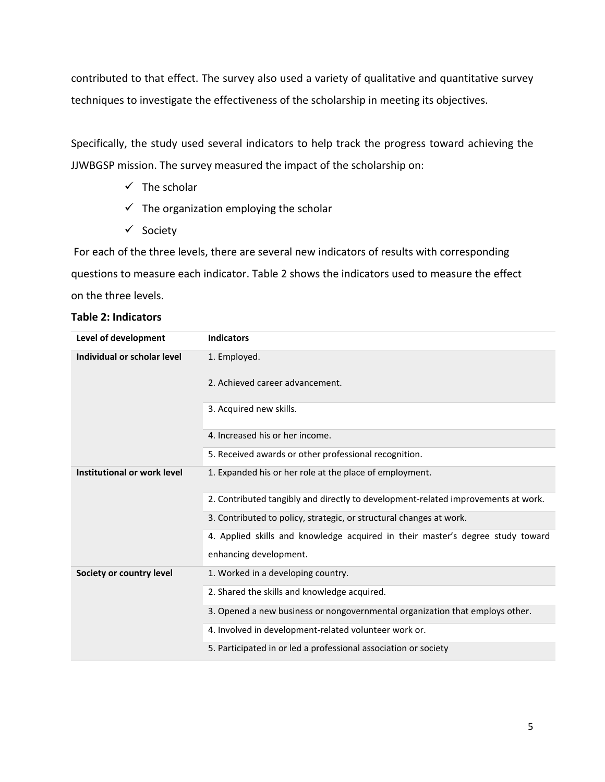contributed to that effect. The survey also used a variety of qualitative and quantitative survey techniques to investigate the effectiveness of the scholarship in meeting its objectives.

Specifically, the study used several indicators to help track the progress toward achieving the JJWBGSP mission. The survey measured the impact of the scholarship on:

- $\checkmark$  The scholar
- $\checkmark$  The organization employing the scholar
- $\checkmark$  Society

 For each of the three levels, there are several new indicators of results with corresponding questions to measure each indicator. Table 2 shows the indicators used to measure the effect on the three levels.

# **Table 2: Indicators**

| Level of development        | <b>Indicators</b>                                                                 |
|-----------------------------|-----------------------------------------------------------------------------------|
| Individual or scholar level | 1. Employed.                                                                      |
|                             | 2. Achieved career advancement.                                                   |
|                             | 3. Acquired new skills.                                                           |
|                             | 4. Increased his or her income.                                                   |
|                             | 5. Received awards or other professional recognition.                             |
| Institutional or work level | 1. Expanded his or her role at the place of employment.                           |
|                             | 2. Contributed tangibly and directly to development-related improvements at work. |
|                             | 3. Contributed to policy, strategic, or structural changes at work.               |
|                             | 4. Applied skills and knowledge acquired in their master's degree study toward    |
|                             | enhancing development.                                                            |
| Society or country level    | 1. Worked in a developing country.                                                |
|                             | 2. Shared the skills and knowledge acquired.                                      |
|                             | 3. Opened a new business or nongovernmental organization that employs other.      |
|                             | 4. Involved in development-related volunteer work or.                             |
|                             | 5. Participated in or led a professional association or society                   |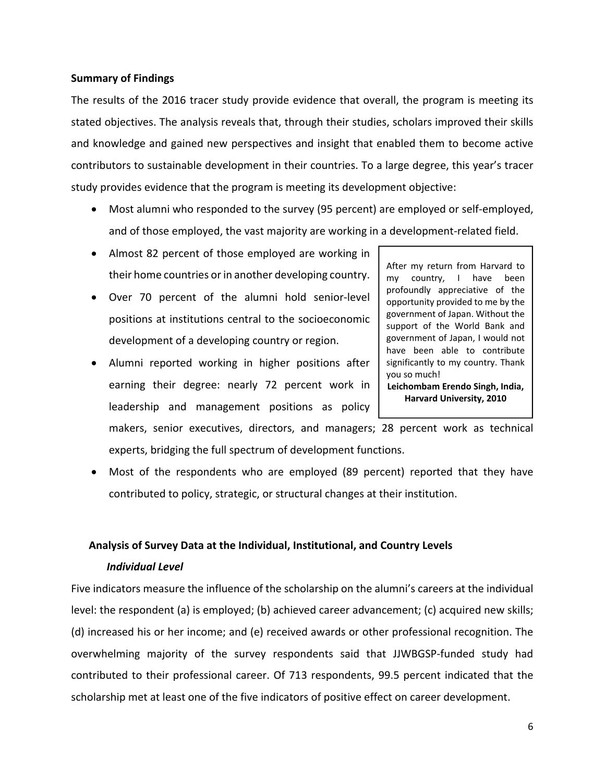## **Summary of Findings**

The results of the 2016 tracer study provide evidence that overall, the program is meeting its stated objectives. The analysis reveals that, through their studies, scholars improved their skills and knowledge and gained new perspectives and insight that enabled them to become active contributors to sustainable development in their countries. To a large degree, this year's tracer study provides evidence that the program is meeting its development objective:

- Most alumni who responded to the survey (95 percent) are employed or self-employed, and of those employed, the vast majority are working in a development-related field.
- Almost 82 percent of those employed are working in their home countries or in another developing country.
- Over 70 percent of the alumni hold senior-level positions at institutions central to the socioeconomic development of a developing country or region.
- Alumni reported working in higher positions after earning their degree: nearly 72 percent work in leadership and management positions as policy

After my return from Harvard to my country, I have been profoundly appreciative of the opportunity provided to me by the government of Japan. Without the support of the World Bank and government of Japan, I would not have been able to contribute significantly to my country. Thank you so much! **Leichombam Erendo Singh, India,** 

**Harvard University, 2010**

makers, senior executives, directors, and managers; 28 percent work as technical experts, bridging the full spectrum of development functions.

 Most of the respondents who are employed (89 percent) reported that they have contributed to policy, strategic, or structural changes at their institution.

# **Analysis of Survey Data at the Individual, Institutional, and Country Levels**

# *Individual Level*

Five indicators measure the influence of the scholarship on the alumni's careers at the individual level: the respondent (a) is employed; (b) achieved career advancement; (c) acquired new skills; (d) increased his or her income; and (e) received awards or other professional recognition. The overwhelming majority of the survey respondents said that JJWBGSP-funded study had contributed to their professional career. Of 713 respondents, 99.5 percent indicated that the scholarship met at least one of the five indicators of positive effect on career development.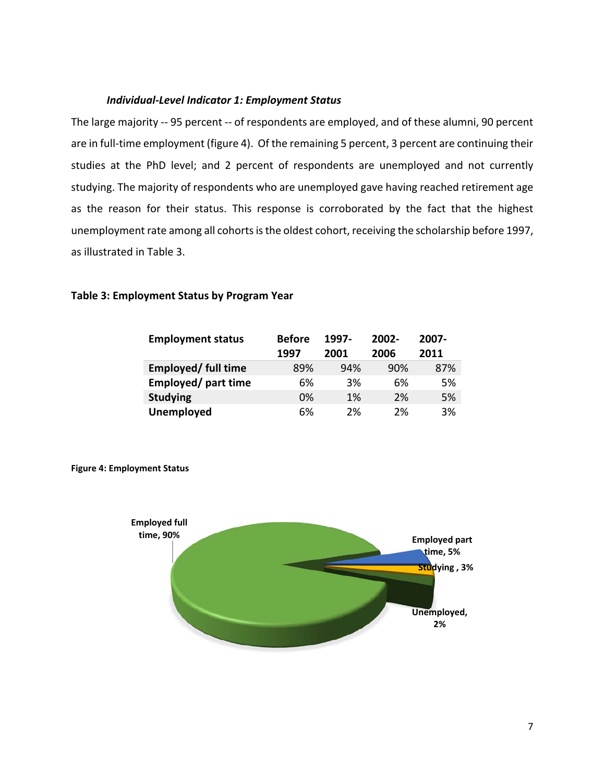### *Individual-Level Indicator 1: Employment Status*

The large majority -- 95 percent -- of respondents are employed, and of these alumni, 90 percent are in full-time employment (figure 4). Of the remaining 5 percent, 3 percent are continuing their studies at the PhD level; and 2 percent of respondents are unemployed and not currently studying. The majority of respondents who are unemployed gave having reached retirement age as the reason for their status. This response is corroborated by the fact that the highest unemployment rate among all cohorts is the oldest cohort, receiving the scholarship before 1997, as illustrated in Table 3.

| <b>Employment status</b>  | <b>Before</b> | 1997- | $2002 -$ | 2007- |
|---------------------------|---------------|-------|----------|-------|
|                           | 1997          | 2001  | 2006     | 2011  |
| <b>Employed/full time</b> | 89%           | 94%   | 90%      | 87%   |
| Employed/ part time       | 6%            | 3%    | 6%       | 5%    |
| <b>Studying</b>           | 0%            | 1%    | 2%       | 5%    |
| <b>Unemployed</b>         | 6%            | 2%    | 2%       | 3%    |

### **Table 3: Employment Status by Program Year**



**Figure 4: Employment Status**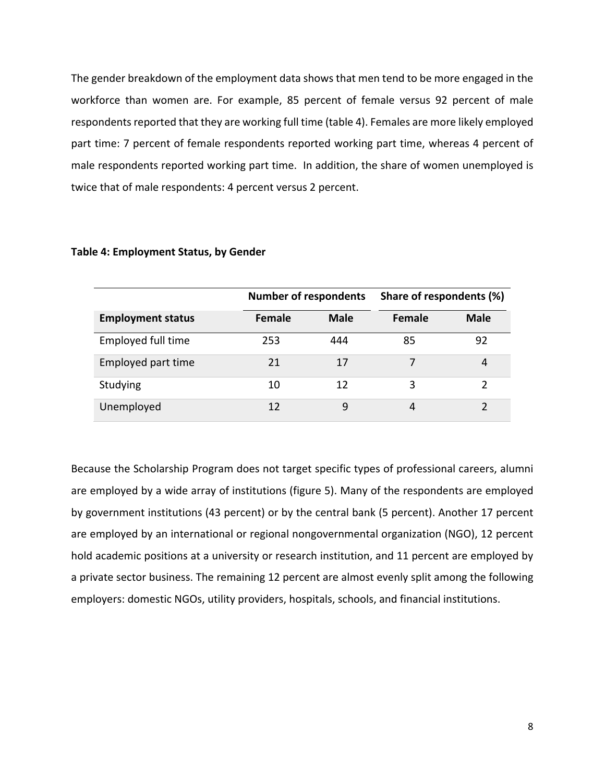The gender breakdown of the employment data shows that men tend to be more engaged in the workforce than women are. For example, 85 percent of female versus 92 percent of male respondents reported that they are working full time (table 4). Females are more likely employed part time: 7 percent of female respondents reported working part time, whereas 4 percent of male respondents reported working part time. In addition, the share of women unemployed is twice that of male respondents: 4 percent versus 2 percent.

|                          | <b>Number of respondents</b> |             | Share of respondents (%) |             |
|--------------------------|------------------------------|-------------|--------------------------|-------------|
| <b>Employment status</b> | Female                       | <b>Male</b> | <b>Female</b>            | <b>Male</b> |
| Employed full time       | 253                          | 444         | 85                       | 92          |
| Employed part time       | 21                           | 17          |                          | 4           |
| Studying                 | 10                           | 12          | 3                        | 2           |
| Unemployed               | 12                           | 9           | 4                        |             |

#### **Table 4: Employment Status, by Gender**

Because the Scholarship Program does not target specific types of professional careers, alumni are employed by a wide array of institutions (figure 5). Many of the respondents are employed by government institutions (43 percent) or by the central bank (5 percent). Another 17 percent are employed by an international or regional nongovernmental organization (NGO), 12 percent hold academic positions at a university or research institution, and 11 percent are employed by a private sector business. The remaining 12 percent are almost evenly split among the following employers: domestic NGOs, utility providers, hospitals, schools, and financial institutions.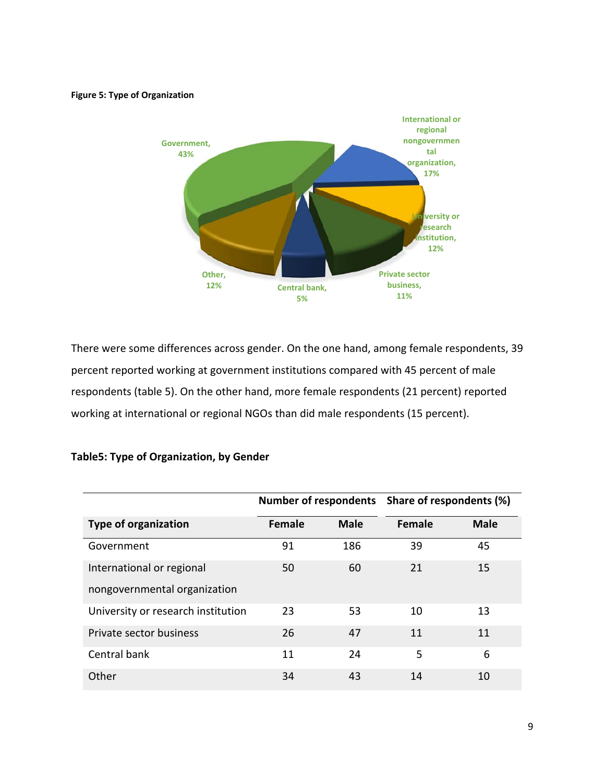#### **Figure 5: Type of Organization**



There were some differences across gender. On the one hand, among female respondents, 39 percent reported working at government institutions compared with 45 percent of male respondents (table 5). On the other hand, more female respondents (21 percent) reported working at international or regional NGOs than did male respondents (15 percent).

|                                    |               |             | Number of respondents Share of respondents (%) |             |
|------------------------------------|---------------|-------------|------------------------------------------------|-------------|
| <b>Type of organization</b>        | <b>Female</b> | <b>Male</b> | <b>Female</b>                                  | <b>Male</b> |
| Government                         | 91            | 186         | 39                                             | 45          |
| International or regional          | 50            | 60          | 21                                             | 15          |
| nongovernmental organization       |               |             |                                                |             |
| University or research institution | 23            | 53          | 10                                             | 13          |
| Private sector business            | 26            | 47          | 11                                             | 11          |
| Central bank                       | 11            | 24          | 5                                              | 6           |
| Other                              | 34            | 43          | 14                                             | 10          |

### **Table5: Type of Organization, by Gender**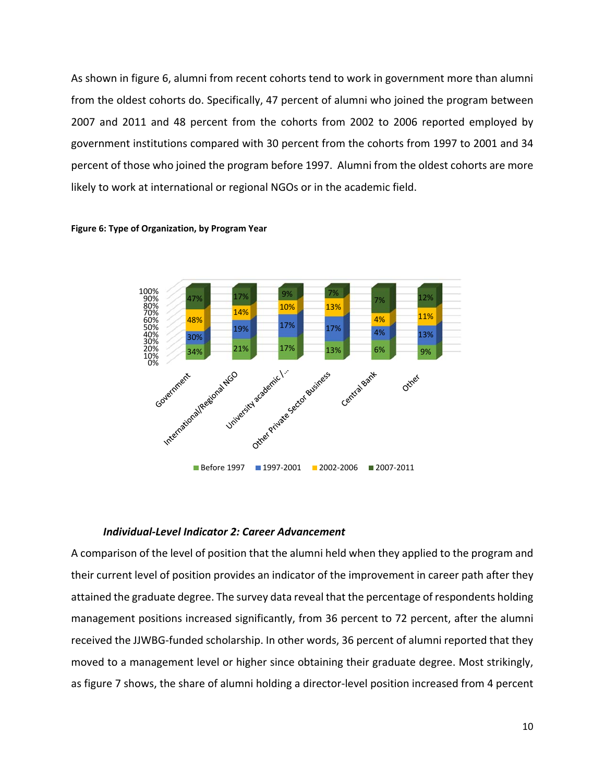As shown in figure 6, alumni from recent cohorts tend to work in government more than alumni from the oldest cohorts do. Specifically, 47 percent of alumni who joined the program between 2007 and 2011 and 48 percent from the cohorts from 2002 to 2006 reported employed by government institutions compared with 30 percent from the cohorts from 1997 to 2001 and 34 percent of those who joined the program before 1997. Alumni from the oldest cohorts are more likely to work at international or regional NGOs or in the academic field.



**Figure 6: Type of Organization, by Program Year**

#### *Individual-Level Indicator 2: Career Advancement*

A comparison of the level of position that the alumni held when they applied to the program and their current level of position provides an indicator of the improvement in career path after they attained the graduate degree. The survey data reveal that the percentage of respondents holding management positions increased significantly, from 36 percent to 72 percent, after the alumni received the JJWBG-funded scholarship. In other words, 36 percent of alumni reported that they moved to a management level or higher since obtaining their graduate degree. Most strikingly, as figure 7 shows, the share of alumni holding a director-level position increased from 4 percent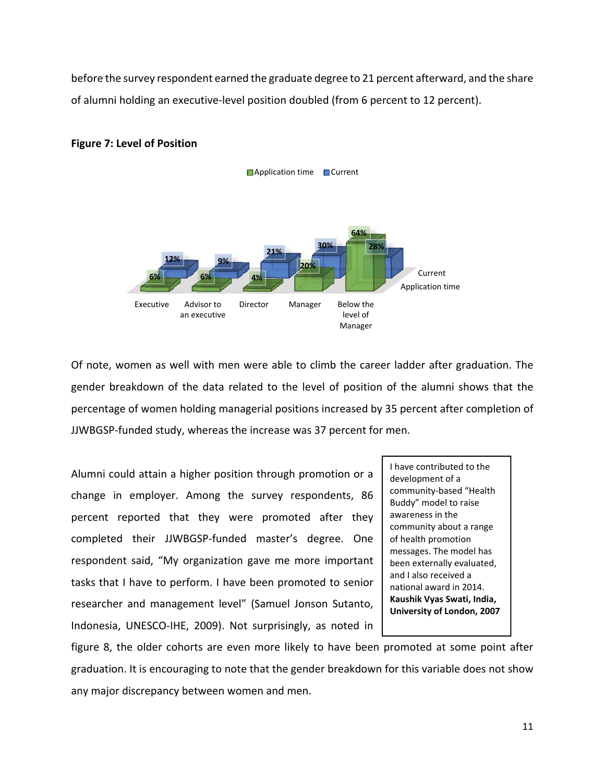before the survey respondent earned the graduate degree to 21 percent afterward, and the share of alumni holding an executive-level position doubled (from 6 percent to 12 percent).



# **Figure 7: Level of Position**

Of note, women as well with men were able to climb the career ladder after graduation. The gender breakdown of the data related to the level of position of the alumni shows that the percentage of women holding managerial positions increased by 35 percent after completion of JJWBGSP-funded study, whereas the increase was 37 percent for men.

Alumni could attain a higher position through promotion or a change in employer. Among the survey respondents, 86 percent reported that they were promoted after they completed their JJWBGSP-funded master's degree. One respondent said, "My organization gave me more important tasks that I have to perform. I have been promoted to senior researcher and management level" (Samuel Jonson Sutanto, Indonesia, UNESCO-IHE, 2009). Not surprisingly, as noted in

I have contributed to the development of a community-based "Health Buddy" model to raise awareness in the community about a range of health promotion messages. The model has been externally evaluated, and I also received a national award in 2014. **Kaushik Vyas Swati, India, University of London, 2007** 

figure 8, the older cohorts are even more likely to have been promoted at some point after graduation. It is encouraging to note that the gender breakdown for this variable does not show any major discrepancy between women and men.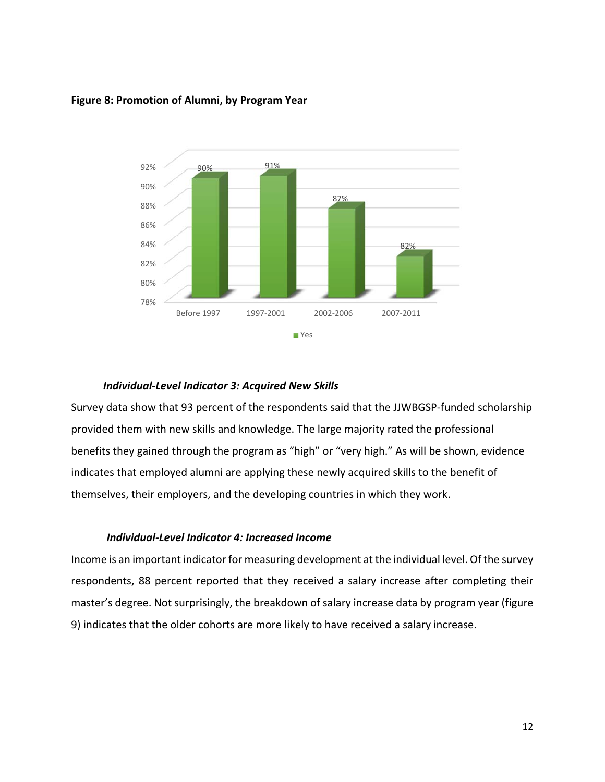

### **Figure 8: Promotion of Alumni, by Program Year**

#### *Individual-Level Indicator 3: Acquired New Skills*

Survey data show that 93 percent of the respondents said that the JJWBGSP-funded scholarship provided them with new skills and knowledge. The large majority rated the professional benefits they gained through the program as "high" or "very high." As will be shown, evidence indicates that employed alumni are applying these newly acquired skills to the benefit of themselves, their employers, and the developing countries in which they work.

### *Individual-Level Indicator 4: Increased Income*

Income is an important indicator for measuring development at the individual level. Of the survey respondents, 88 percent reported that they received a salary increase after completing their master's degree. Not surprisingly, the breakdown of salary increase data by program year (figure 9) indicates that the older cohorts are more likely to have received a salary increase.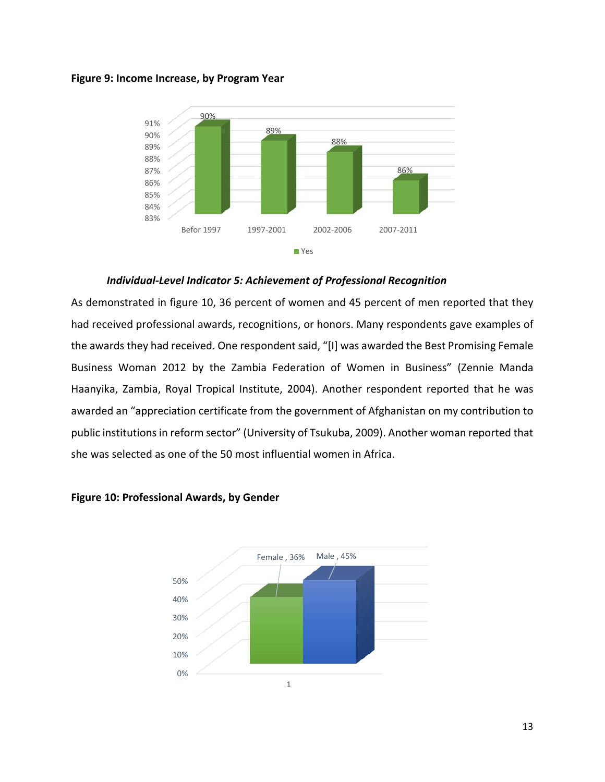



*Individual-Level Indicator 5: Achievement of Professional Recognition* 

As demonstrated in figure 10, 36 percent of women and 45 percent of men reported that they had received professional awards, recognitions, or honors. Many respondents gave examples of the awards they had received. One respondent said, "[I] was awarded the Best Promising Female Business Woman 2012 by the Zambia Federation of Women in Business" (Zennie Manda Haanyika, Zambia, Royal Tropical Institute, 2004). Another respondent reported that he was awarded an "appreciation certificate from the government of Afghanistan on my contribution to public institutions in reform sector" (University of Tsukuba, 2009). Another woman reported that she was selected as one of the 50 most influential women in Africa.



#### **Figure 10: Professional Awards, by Gender**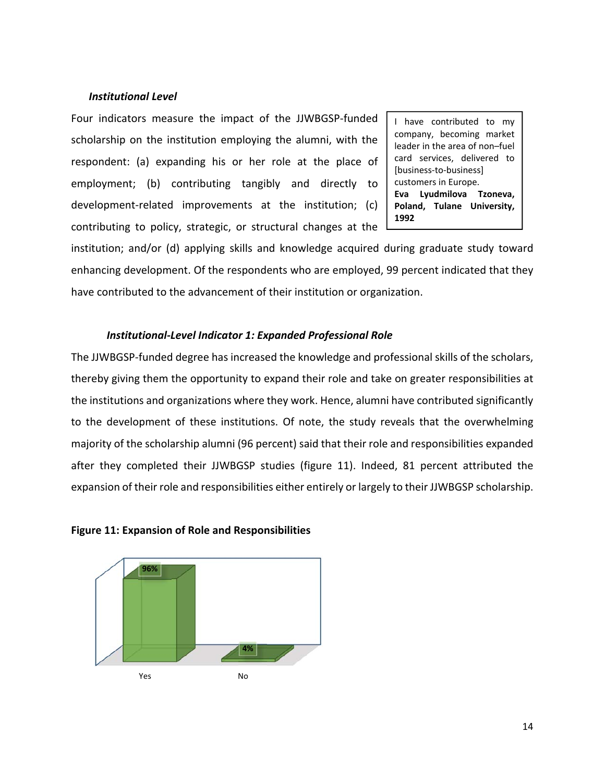#### *Institutional Level*

Four indicators measure the impact of the JJWBGSP-funded scholarship on the institution employing the alumni, with the respondent: (a) expanding his or her role at the place of employment; (b) contributing tangibly and directly to development-related improvements at the institution; (c) contributing to policy, strategic, or structural changes at the

I have contributed to my company, becoming market leader in the area of non–fuel card services, delivered to [business-to-business] customers in Europe. **Eva Lyudmilova Tzoneva, Poland, Tulane University, 1992** 

institution; and/or (d) applying skills and knowledge acquired during graduate study toward enhancing development. Of the respondents who are employed, 99 percent indicated that they have contributed to the advancement of their institution or organization.

#### *Institutional-Level Indicator 1: Expanded Professional Role*

The JJWBGSP-funded degree has increased the knowledge and professional skills of the scholars, thereby giving them the opportunity to expand their role and take on greater responsibilities at the institutions and organizations where they work. Hence, alumni have contributed significantly to the development of these institutions. Of note, the study reveals that the overwhelming majority of the scholarship alumni (96 percent) said that their role and responsibilities expanded after they completed their JJWBGSP studies (figure 11). Indeed, 81 percent attributed the expansion of their role and responsibilities either entirely or largely to their JJWBGSP scholarship.



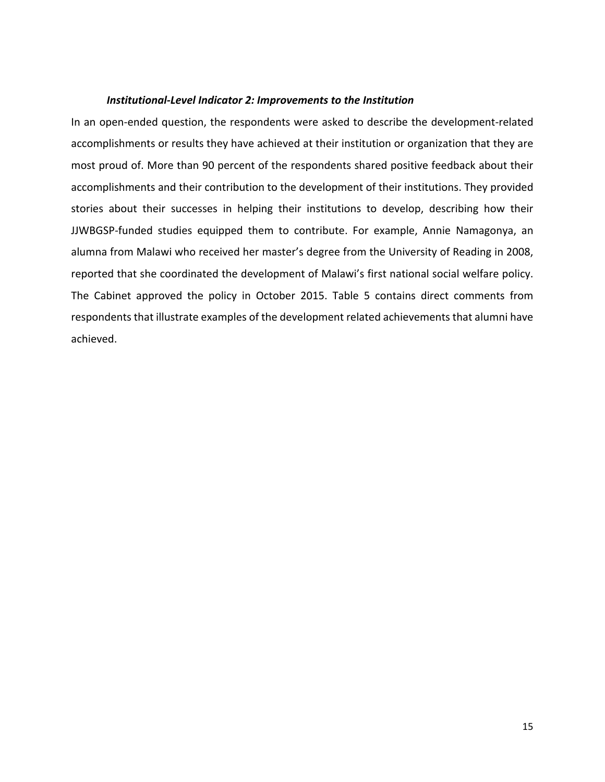#### *Institutional-Level Indicator 2: Improvements to the Institution*

In an open-ended question, the respondents were asked to describe the development-related accomplishments or results they have achieved at their institution or organization that they are most proud of. More than 90 percent of the respondents shared positive feedback about their accomplishments and their contribution to the development of their institutions. They provided stories about their successes in helping their institutions to develop, describing how their JJWBGSP-funded studies equipped them to contribute. For example, Annie Namagonya, an alumna from Malawi who received her master's degree from the University of Reading in 2008, reported that she coordinated the development of Malawi's first national social welfare policy. The Cabinet approved the policy in October 2015. Table 5 contains direct comments from respondents that illustrate examples of the development related achievements that alumni have achieved.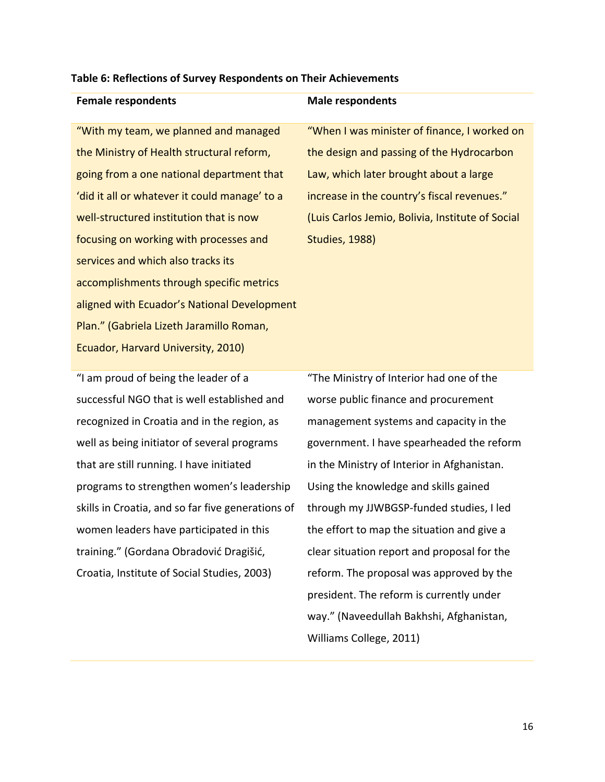#### **Table 6: Reflections of Survey Respondents on Their Achievements**

| "With my team, we planned and managed         |
|-----------------------------------------------|
| the Ministry of Health structural reform,     |
| going from a one national department that     |
| 'did it all or whatever it could manage' to a |
| well-structured institution that is now       |
| focusing on working with processes and        |
| services and which also tracks its            |
| accomplishments through specific metrics      |
| aligned with Ecuador's National Development   |
| Plan." (Gabriela Lizeth Jaramillo Roman,      |
| Ecuador, Harvard University, 2010)            |
|                                               |

## **Female respondents** and **Male respondents**

"When I was minister of finance, I worked on the design and passing of the Hydrocarbon Law, which later brought about a large increase in the country's fiscal revenues." (Luis Carlos Jemio, Bolivia, Institute of Social Studies, 1988)

"I am proud of being the leader of a successful NGO that is well established and recognized in Croatia and in the region, as well as being initiator of several programs that are still running. I have initiated programs to strengthen women's leadership skills in Croatia, and so far five generations of women leaders have participated in this training." (Gordana Obradović Dragišić, Croatia, Institute of Social Studies, 2003)

"The Ministry of Interior had one of the worse public finance and procurement management systems and capacity in the government. I have spearheaded the reform in the Ministry of Interior in Afghanistan. Using the knowledge and skills gained through my JJWBGSP-funded studies, I led the effort to map the situation and give a clear situation report and proposal for the reform. The proposal was approved by the president. The reform is currently under way." (Naveedullah Bakhshi, Afghanistan, Williams College, 2011)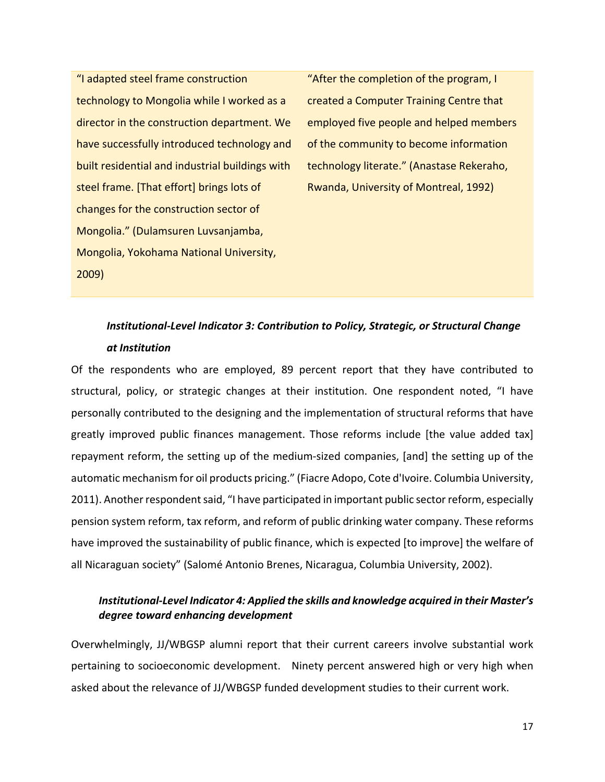"I adapted steel frame construction technology to Mongolia while I worked as a director in the construction department. We have successfully introduced technology and built residential and industrial buildings with steel frame. [That effort] brings lots of changes for the construction sector of Mongolia." (Dulamsuren Luvsanjamba, Mongolia, Yokohama National University, 2009)

"After the completion of the program, I created a Computer Training Centre that employed five people and helped members of the community to become information technology literate." (Anastase Rekeraho, Rwanda, University of Montreal, 1992)

# *Institutional-Level Indicator 3: Contribution to Policy, Strategic, or Structural Change at Institution*

Of the respondents who are employed, 89 percent report that they have contributed to structural, policy, or strategic changes at their institution. One respondent noted, "I have personally contributed to the designing and the implementation of structural reforms that have greatly improved public finances management. Those reforms include [the value added tax] repayment reform, the setting up of the medium-sized companies, [and] the setting up of the automatic mechanism for oil products pricing." (Fiacre Adopo, Cote d'Ivoire. Columbia University, 2011). Another respondent said, "I have participated in important public sector reform, especially pension system reform, tax reform, and reform of public drinking water company. These reforms have improved the sustainability of public finance, which is expected [to improve] the welfare of all Nicaraguan society" (Salomé Antonio Brenes, Nicaragua, Columbia University, 2002).

# *Institutional-Level Indicator 4: Applied the skills and knowledge acquired in their Master's degree toward enhancing development*

Overwhelmingly, JJ/WBGSP alumni report that their current careers involve substantial work pertaining to socioeconomic development. Ninety percent answered high or very high when asked about the relevance of JJ/WBGSP funded development studies to their current work.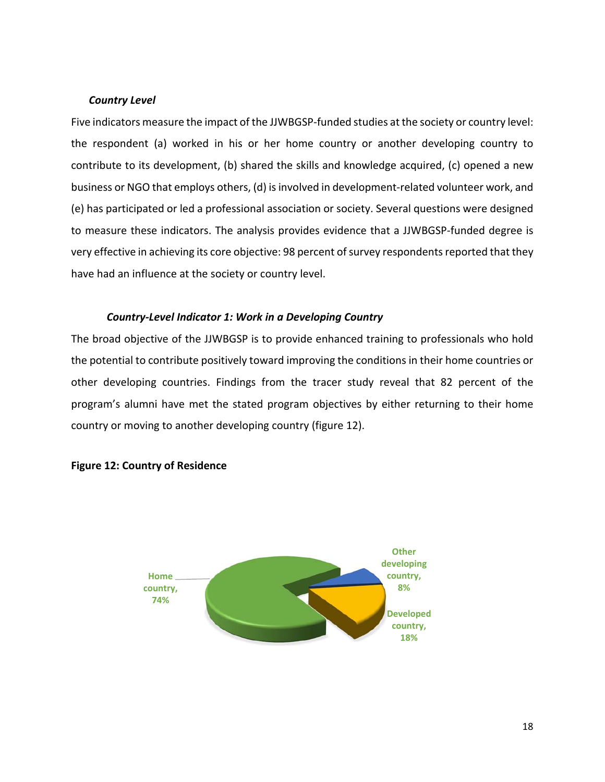# *Country Level*

Five indicators measure the impact of the JJWBGSP-funded studies at the society or country level: the respondent (a) worked in his or her home country or another developing country to contribute to its development, (b) shared the skills and knowledge acquired, (c) opened a new business or NGO that employs others, (d) is involved in development-related volunteer work, and (e) has participated or led a professional association or society. Several questions were designed to measure these indicators. The analysis provides evidence that a JJWBGSP-funded degree is very effective in achieving its core objective: 98 percent of survey respondents reported that they have had an influence at the society or country level.

### *Country-Level Indicator 1: Work in a Developing Country*

The broad objective of the JJWBGSP is to provide enhanced training to professionals who hold the potential to contribute positively toward improving the conditions in their home countries or other developing countries. Findings from the tracer study reveal that 82 percent of the program's alumni have met the stated program objectives by either returning to their home country or moving to another developing country (figure 12).



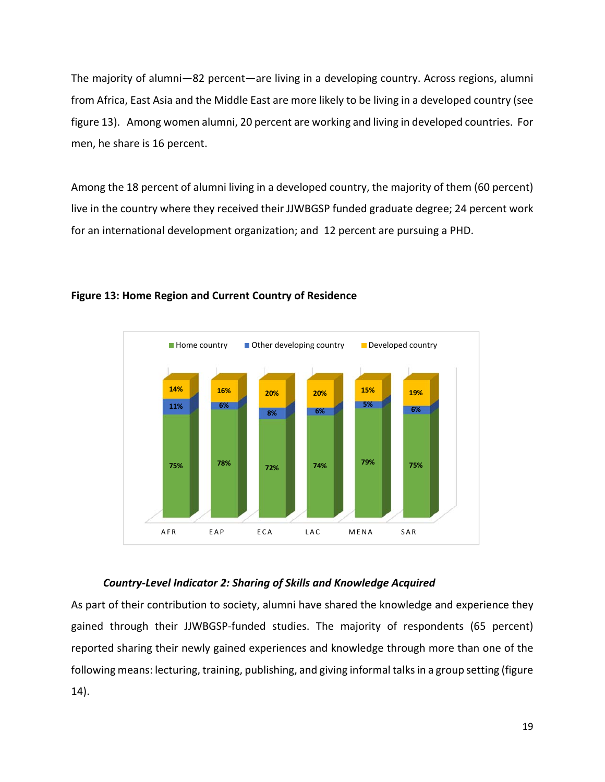The majority of alumni—82 percent—are living in a developing country. Across regions, alumni from Africa, East Asia and the Middle East are more likely to be living in a developed country (see figure 13). Among women alumni, 20 percent are working and living in developed countries. For men, he share is 16 percent.

Among the 18 percent of alumni living in a developed country, the majority of them (60 percent) live in the country where they received their JJWBGSP funded graduate degree; 24 percent work for an international development organization; and 12 percent are pursuing a PHD.



# **Figure 13: Home Region and Current Country of Residence**

### *Country-Level Indicator 2: Sharing of Skills and Knowledge Acquired*

As part of their contribution to society, alumni have shared the knowledge and experience they gained through their JJWBGSP-funded studies. The majority of respondents (65 percent) reported sharing their newly gained experiences and knowledge through more than one of the following means: lecturing, training, publishing, and giving informal talks in a group setting (figure 14).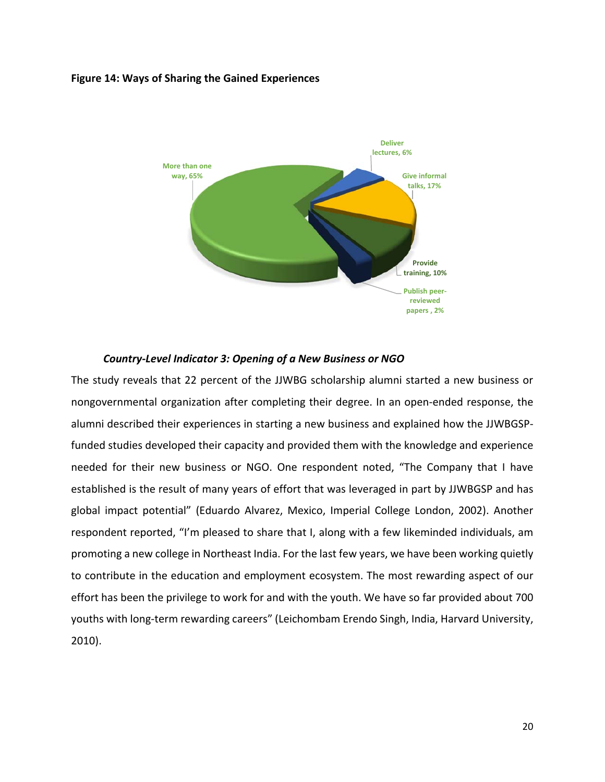#### **Figure 14: Ways of Sharing the Gained Experiences**



#### *Country-Level Indicator 3: Opening of a New Business or NGO*

The study reveals that 22 percent of the JJWBG scholarship alumni started a new business or nongovernmental organization after completing their degree. In an open-ended response, the alumni described their experiences in starting a new business and explained how the JJWBGSPfunded studies developed their capacity and provided them with the knowledge and experience needed for their new business or NGO. One respondent noted, "The Company that I have established is the result of many years of effort that was leveraged in part by JJWBGSP and has global impact potential" (Eduardo Alvarez, Mexico, Imperial College London, 2002). Another respondent reported, "I'm pleased to share that I, along with a few likeminded individuals, am promoting a new college in Northeast India. For the last few years, we have been working quietly to contribute in the education and employment ecosystem. The most rewarding aspect of our effort has been the privilege to work for and with the youth. We have so far provided about 700 youths with long-term rewarding careers" (Leichombam Erendo Singh, India, Harvard University, 2010).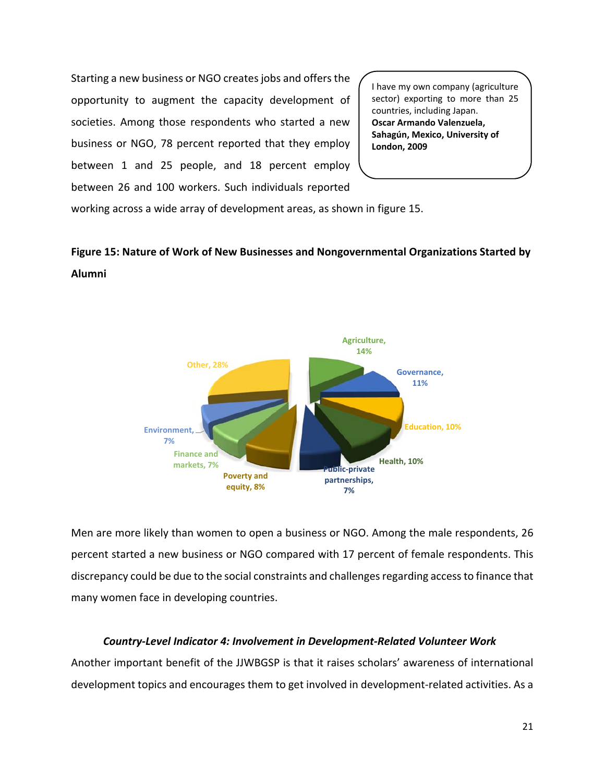Starting a new business or NGO creates jobs and offers the opportunity to augment the capacity development of societies. Among those respondents who started a new business or NGO, 78 percent reported that they employ between 1 and 25 people, and 18 percent employ between 26 and 100 workers. Such individuals reported

I have my own company (agriculture sector) exporting to more than 25 countries, including Japan. **Oscar Armando Valenzuela, Sahagún, Mexico, University of London, 2009** 

working across a wide array of development areas, as shown in figure 15.

# **Figure 15: Nature of Work of New Businesses and Nongovernmental Organizations Started by Alumni**



Men are more likely than women to open a business or NGO. Among the male respondents, 26 percent started a new business or NGO compared with 17 percent of female respondents. This discrepancy could be due to the social constraints and challenges regarding access to finance that many women face in developing countries.

# *Country-Level Indicator 4: Involvement in Development-Related Volunteer Work*

Another important benefit of the JJWBGSP is that it raises scholars' awareness of international development topics and encourages them to get involved in development-related activities. As a